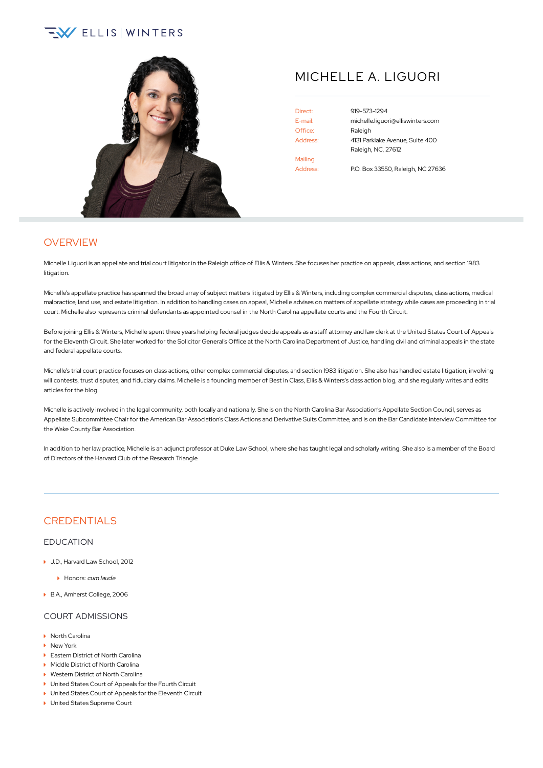# $\sqrt{2}$  ELLIS WINTERS



## MICHELLE A. LIGUORI

Direct: [919-573-1294](tel:+1-919-573-1294) Office: Raleigh Mailing Address: P.O. Box 33550, Raleigh, NC 27636

E-mail: [michelle.liguori@elliswinters.com](mailto:michelle.liguori@elliswinters.com) Address: 4131 Parklake Avenue, Suite 400 Raleigh, NC, 27612

**OVERVIEW** 

Michelle Liguori is an appellate and trial court litigator in the Raleigh office of Ellis & Winters. She focuses her practice on appeals, class actions, and section 1983 litigation.

Michelle's appellate practice has spanned the broad array of subject matters litigated by Ellis & Winters, including complex commercial disputes, class actions, medical malpractice, land use, and estate litigation. In addition to handling cases on appeal, Michelle advises on matters of appellate strategy while cases are proceeding in trial court. Michelle also represents criminal defendants as appointed counsel in the North Carolina appellate courts and the Fourth Circuit.

Before joining Ellis & Winters, Michelle spent three years helping federal judges decide appeals as a staff attorney and law clerk at the United States Court of Appeals for the Eleventh Circuit. She later worked for the Solicitor General's Office at the North Carolina Department of Justice, handling civil and criminal appeals in the state and federal appellate courts.

Michelle's trial court practice focuses on class actions, other complex commercial disputes, and section 1983 litigation. She also has handled estate litigation, involving will contests, trust disputes, and fiduciary claims. Michelle is a founding member of Best in Class, Ellis & Winters's class action blog, and she regularly writes and edits articles for the blog.

Michelle is actively involved in the legal community, both locally and nationally. She is on the North Carolina Bar Association's Appellate Section Council, serves as Appellate Subcommittee Chair for the American Bar Association's Class Actions and Derivative Suits Committee, and is on the Bar Candidate Interview Committee for the Wake County Bar Association.

In addition to her law practice, Michelle is an adjunct professor at Duke Law School, where she has taught legal and scholarly writing. She also is a member of the Board of Directors of the Harvard Club of the Research Triangle.

## **CREDENTIALS**

#### EDUCATION

- ▶ J.D., Harvard Law School, 2012
	- Honors: cum laude
- B.A., Amherst College, 2006

#### COURT ADMISSIONS

- North Carolina
- ▶ New York
- ▶ Eastern District of North Carolina
- Middle District of North Carolina
- ▶ Western District of North Carolina
- ▶ United States Court of Appeals for the Fourth Circuit
- ▶ United States Court of Appeals for the Eleventh Circuit
- ▶ United States Supreme Court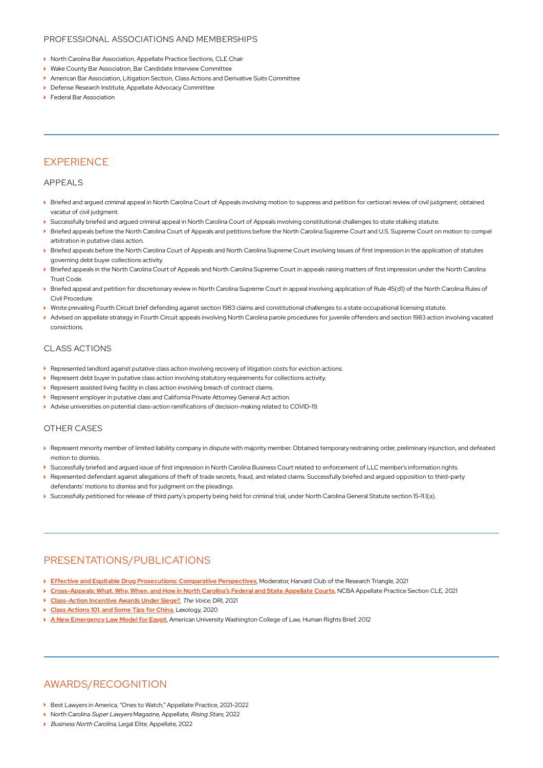#### PROFESSIONAL ASSOCIATIONS AND MEMBERSHIPS

- ▶ North Carolina Bar Association, Appellate Practice Sections, CLE Chair
- Wake County Bar Association, Bar Candidate Interview Committee
- American Bar Association, Litigation Section, Class Actions and Derivative Suits Committee
- Defense Research Institute, Appellate Advocacy Committee
- **Federal Bar Association**

## **EXPERIENCE**

#### APPEALS

- $\blacktriangleright$  Briefed and argued criminal appeal in North Carolina Court of Appeals involving motion to suppress and petition for certiorari review of civil judgment; obtained vacatur of civil judgment.
- Successfully briefed and argued criminal appeal in North Carolina Court of Appeals involving constitutional challenges to state stalking statute.
- $\blacktriangleright$  Briefed appeals before the North Carolina Court of Appeals and petitions before the North Carolina Supreme Court and U.S. Supreme Court on motion to compel arbitration in putative class action.
- $\blacktriangleright$  Briefed appeals before the North Carolina Court of Appeals and North Carolina Supreme Court involving issues of first impression in the application of statutes governing debt buyer collections activity.
- $\blacktriangleright$  Briefed appeals in the North Carolina Court of Appeals and North Carolina Supreme Court in appeals raising matters of first impression under the North Carolina Trust Code.
- $\blacktriangleright$  Briefed appeal and petition for discretionary review in North Carolina Supreme Court in appeal involving application of Rule 45(d1) of the North Carolina Rules of Civil Procedure.
- Wrote prevailing Fourth Circuit brief defending against section 1983 claims and constitutional challenges to a state occupational licensing statute.
- $\blacktriangleright$  Advised on appellate strategy in Fourth Circuit appeals involving North Carolina parole procedures for juvenile offenders and section 1983 action involving vacated convictions.

#### CLASS ACTIONS

- Represented landlord against putative class action involving recovery of litigation costs for eviction actions.
- **Represent debt buyer in putative class action involving statutory requirements for collections activity.**
- ▶ Represent assisted living facility in class action involving breach of contract claims.
- ▶ Represent employer in putative class and California Private Attorney General Act action.
- Advise universities on potential class-action ramifications of decision-making related to COVID-19.

#### OTHER CASES

- $\blacktriangleright$  Represent minority member of limited liability company in dispute with majority member. Obtained temporary restraining order, preliminary injunction, and defeated motion to dismiss.
- Successfully briefed and argued issue of first impression in North Carolina Business Court related to enforcement of LLC member's information rights.
- $\blacktriangleright$  Represented defendant against allegations of theft of trade secrets, fraud, and related claims. Successfully briefed and argued opposition to third-party defendants' motions to dismiss and for judgment on the pleadings.
- Successfully petitioned for release of third party's property being held for criminal trial, under North Carolina General Statute section 15-11.1(a).

## PRESENTATIONS/PUBLICATIONS

- **Effective and Equitable Drug [Prosecutions:](https://hcresearchtriangle.clubs.harvard.edu/article.html?aid=578) Comparative Perspectives**, Moderator, Harvard Club of the Research Triangle, 2021
- > [Cross-Appeals:](http://www.elliswinters.com/wp-content/uploads/2021/06/Cross-Appeals-CLE-Written-Materials.pdf) What, Why, When, and How in North Carolina's Federal and State Appellate Courts, NCBA Appellate Practice Section CLE, 2021
- **[Class-Action](https://www.elliswinters.com/wp-content/uploads/2019/10/Johnson-v.-NPAS-Solutions-Comment.pdf) Incentive Awards Under Siege?**, The Voice, DRI, 2021
- **Class [Actions](https://www.lexology.com/library/detail.aspx?g=a81a2617-2198-41f1-b207-666ef26d8df0) 101, and Some Tips for China**, Lexology, 2020
- **A New [Emergency](https://digitalcommons.wcl.american.edu/hrbrief/vol19/iss3/2/) Law Model for Egypt**, American University Washington College of Law, Human Rights Brief, 2012

### AWARDS/RECOGNITION

- Best Lawyers in America, "Ones to Watch," Appellate Practice, 2021-2022
- ▶ North Carolina Super Lawyers Magazine, Appellate, Rising Stars, 2022
- Business North Carolina, Legal Elite, Appellate, 2022